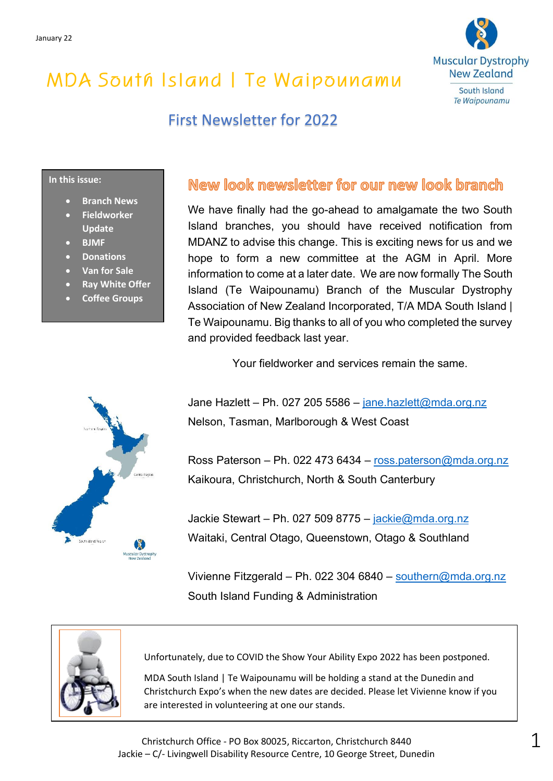

## First Newsletter for 2022

### **In this issue:**

- **Branch News**
- **Fieldworker Update**
- **BJMF**
- **Donations**
- **Van for Sale**
- **Ray White Offer**
- **Coffee Groups**

### New look newsletter for our new look branch

We have finally had the go-ahead to amalgamate the two South Island branches, you should have received notification from MDANZ to advise this change. This is exciting news for us and we hope to form a new committee at the AGM in April. More information to come at a later date. We are now formally The South Island (Te Waipounamu) Branch of the Muscular Dystrophy Association of New Zealand Incorporated, T/A MDA South Island | Te Waipounamu. Big thanks to all of you who completed the survey and provided feedback last year.

Your fieldworker and services remain the same.

Jane Hazlett – Ph. 027 205 5586 – [jane.hazlett@mda.org.nz](mailto:jane.hazlett@mda.org.nz) Nelson, Tasman, Marlborough & West Coast

Ross Paterson – Ph. 022 473 6434 – [ross.paterson@mda.org.nz](mailto:ross.paterson@mda.org.nz) Kaikoura, Christchurch, North & South Canterbury

Jackie Stewart – Ph. 027 509 8775 – [jackie@mda.org.nz](mailto:jackie@mda.org.nz) Waitaki, Central Otago, Queenstown, Otago & Southland

Vivienne Fitzgerald – Ph. 022 304 6840 – [southern@mda.org.nz](mailto:southern@mda.org.nz) South Island Funding & Administration



Unfortunately, due to COVID the Show Your Ability Expo 2022 has been postponed.

MDA South Island | Te Waipounamu will be holding a stand at the Dunedin and Christchurch Expo's when the new dates are decided. Please let Vivienne know if you are interested in volunteering at one our stands.

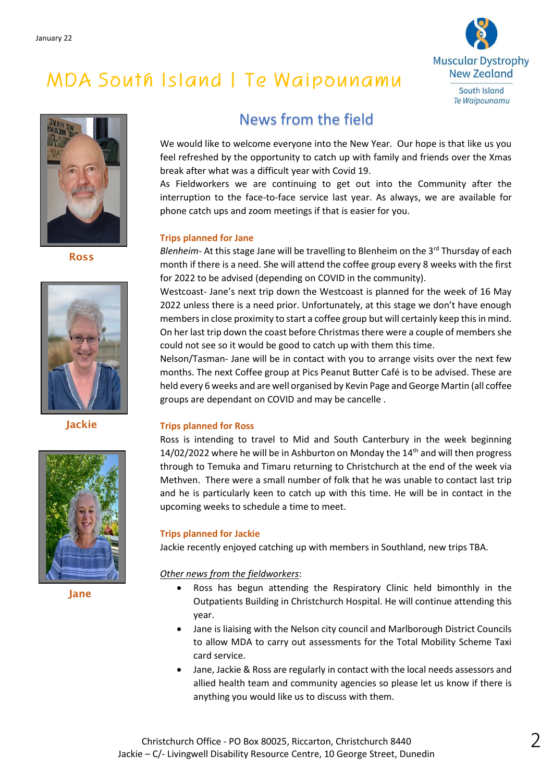



Ross



Jackie



Jane

## News from the field

We would like to welcome everyone into the New Year. Our hope is that like us you feel refreshed by the opportunity to catch up with family and friends over the Xmas break after what was a difficult year with Covid 19.

As Fieldworkers we are continuing to get out into the Community after the interruption to the face-to-face service last year. As always, we are available for phone catch ups and zoom meetings if that is easier for you.

### **Trips planned for Jane**

*Blenheim*- At this stage Jane will be travelling to Blenheim on the 3<sup>rd</sup> Thursday of each month if there is a need. She will attend the coffee group every 8 weeks with the first for 2022 to be advised (depending on COVID in the community).

Westcoast- Jane's next trip down the Westcoast is planned for the week of 16 May 2022 unless there is a need prior. Unfortunately, at this stage we don't have enough members in close proximity to start a coffee group but will certainly keep this in mind. On her last trip down the coast before Christmas there were a couple of members she could not see so it would be good to catch up with them this time.

Nelson/Tasman- Jane will be in contact with you to arrange visits over the next few months. The next Coffee group at Pics Peanut Butter Café is to be advised. These are held every 6 weeks and are well organised by Kevin Page and George Martin (all coffee groups are dependant on COVID and may be cancelle .

### **Trips planned for Ross**

Ross is intending to travel to Mid and South Canterbury in the week beginning 14/02/2022 where he will be in Ashburton on Monday the  $14<sup>th</sup>$  and will then progress through to Temuka and Timaru returning to Christchurch at the end of the week via Methven. There were a small number of folk that he was unable to contact last trip and he is particularly keen to catch up with this time. He will be in contact in the upcoming weeks to schedule a time to meet.

#### **Trips planned for Jackie**

Jackie recently enjoyed catching up with members in Southland, new trips TBA.

#### *Other news from the fieldworkers*:

- Ross has begun attending the Respiratory Clinic held bimonthly in the Outpatients Building in Christchurch Hospital. He will continue attending this year.
- Jane is liaising with the Nelson city council and Marlborough District Councils to allow MDA to carry out assessments for the Total Mobility Scheme Taxi card service.
- Jane, Jackie & Ross are regularly in contact with the local needs assessors and allied health team and community agencies so please let us know if there is anything you would like us to discuss with them.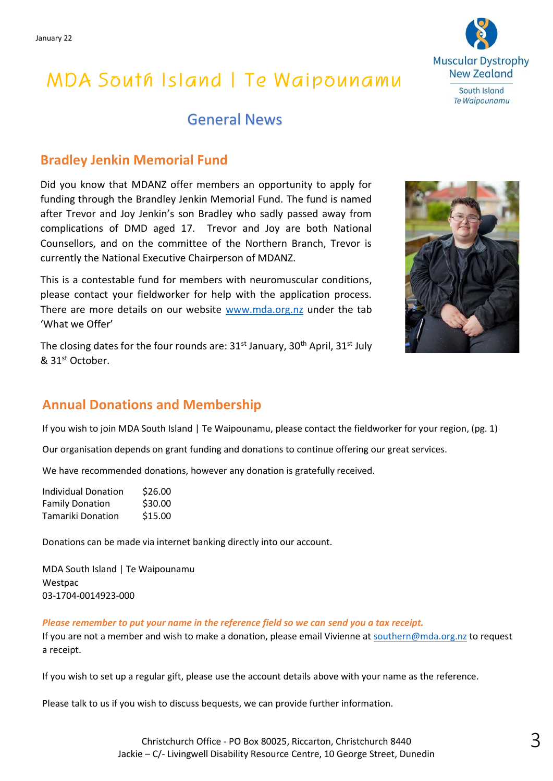### General News

### **Bradley Jenkin Memorial Fund**

Did you know that MDANZ offer members an opportunity to apply for funding through the Brandley Jenkin Memorial Fund. The fund is named after Trevor and Joy Jenkin's son Bradley who sadly passed away from complications of DMD aged 17. Trevor and Joy are both National Counsellors, and on the committee of the Northern Branch, Trevor is currently the National Executive Chairperson of MDANZ.

This is a contestable fund for members with neuromuscular conditions, please contact your fieldworker for help with the application process. There are more details on our website [www.mda.org.nz](http://www.mda.org.nz/) under the tab 'What we Offer'

The closing dates for the four rounds are:  $31<sup>st</sup>$  January,  $30<sup>th</sup>$  April,  $31<sup>st</sup>$  July & 31st October.

### **Annual Donations and Membership**

If you wish to join MDA South Island | Te Waipounamu, please contact the fieldworker for your region, (pg. 1)

Our organisation depends on grant funding and donations to continue offering our great services.

We have recommended donations, however any donation is gratefully received.

| <b>Individual Donation</b> | \$26.00 |
|----------------------------|---------|
| <b>Family Donation</b>     | \$30.00 |
| Tamariki Donation          | \$15.00 |

Donations can be made via internet banking directly into our account.

MDA South Island | Te Waipounamu Westpac 03-1704-0014923-000

*Please remember to put your name in the reference field so we can send you a tax receipt.*

If you are not a member and wish to make a donation, please email Vivienne at [southern@mda.org.nz](mailto:southern@mda.org.nz) to request a receipt.

If you wish to set up a regular gift, please use the account details above with your name as the reference.

Please talk to us if you wish to discuss bequests, we can provide further information.



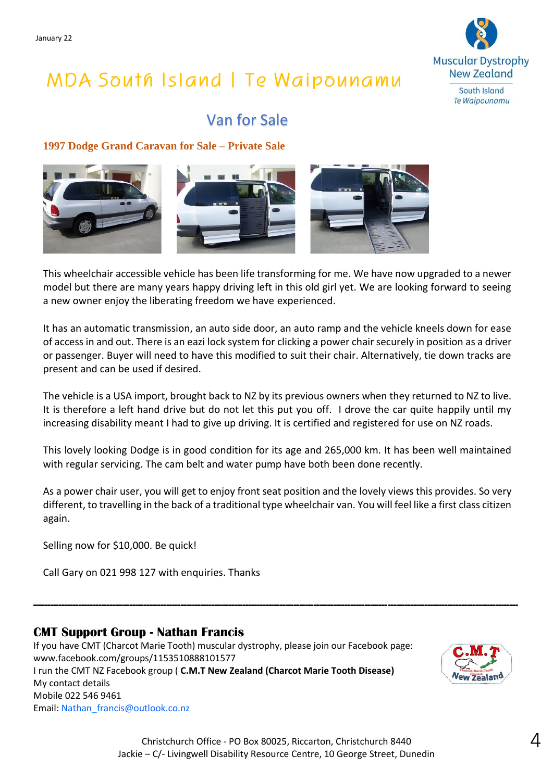

## Van for Sale

### **1997 Dodge Grand Caravan for Sale – Private Sale**



This wheelchair accessible vehicle has been life transforming for me. We have now upgraded to a newer model but there are many years happy driving left in this old girl yet. We are looking forward to seeing a new owner enjoy the liberating freedom we have experienced.

It has an automatic transmission, an auto side door, an auto ramp and the vehicle kneels down for ease of access in and out. There is an eazi lock system for clicking a power chair securely in position as a driver or passenger. Buyer will need to have this modified to suit their chair. Alternatively, tie down tracks are present and can be used if desired.

The vehicle is a USA import, brought back to NZ by its previous owners when they returned to NZ to live. It is therefore a left hand drive but do not let this put you off. I drove the car quite happily until my increasing disability meant I had to give up driving. It is certified and registered for use on NZ roads.

This lovely looking Dodge is in good condition for its age and 265,000 km. It has been well maintained with regular servicing. The cam belt and water pump have both been done recently.

As a power chair user, you will get to enjoy front seat position and the lovely views this provides. So very different, to travelling in the back of a traditional type wheelchair van. You will feel like a first class citizen again.

**---------------------------------------------------------------------------------------------------------------------------------------------------------------------------**

Selling now for \$10,000. Be quick!

Call Gary on 021 998 127 with enquiries. Thanks

### **CMT Support Group - Nathan Francis**

If you have CMT (Charcot Marie Tooth) muscular dystrophy, please join our Facebook page: www.facebook.com/groups/1153510888101577 I run the CMT NZ Facebook group ( **C.M.T New Zealand (Charcot Marie Tooth Disease)**  My contact details Mobile 022 546 9461 Email: Nathan\_francis@outlook.co.nz

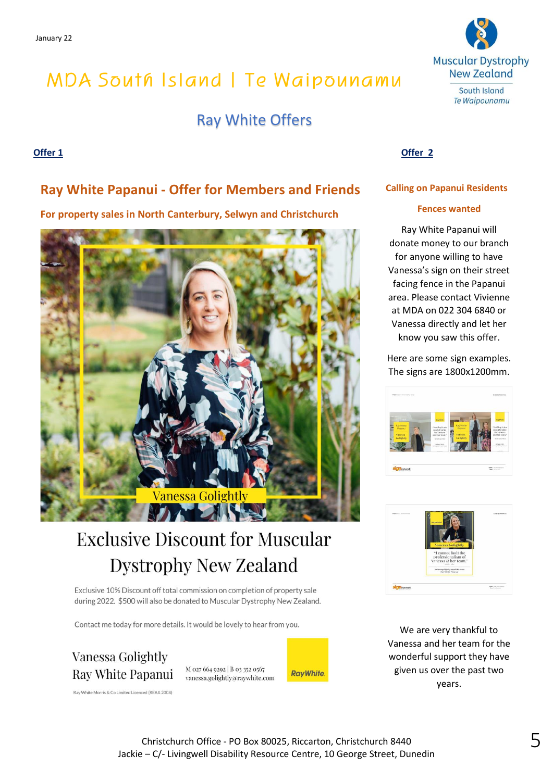### Ray White Offers

### **Offer 1 Offer 2**

### **Ray White Papanui - Offer for Members and Friends**

**For property sales in North Canterbury, Selwyn and Christchurch**



# **Exclusive Discount for Muscular Dystrophy New Zealand**

Exclusive 10% Discount off total commission on completion of property sale during 2022. \$500 will also be donated to Muscular Dystrophy New Zealand.

Contact me today for more details. It would be lovely to hear from you.

**Vanessa Golightly** Ray White Papanui

M 027 664 9292 | B 03 352 0567 vanessa.golightly@raywhite.com





**Calling on Papanui Residents**

### **Fences wanted**

Ray White Papanui will donate money to our branch for anyone willing to have Vanessa's sign on their street facing fence in the Papanui area. Please contact Vivienne at MDA on 022 304 6840 or Vanessa directly and let her know you saw this offer.

Here are some sign examples. The signs are 1800x1200mm.





We are very thankful to Vanessa and her team for the wonderful support they have given us over the past two years.

Ray White Morris & Co Limited Licenced (REAA 2008)

Christchurch Office - PO Box 80025, Riccarton, Christchurch 8440 Jackie – C/- Livingwell Disability Resource Centre, 10 George Street, Dunedin